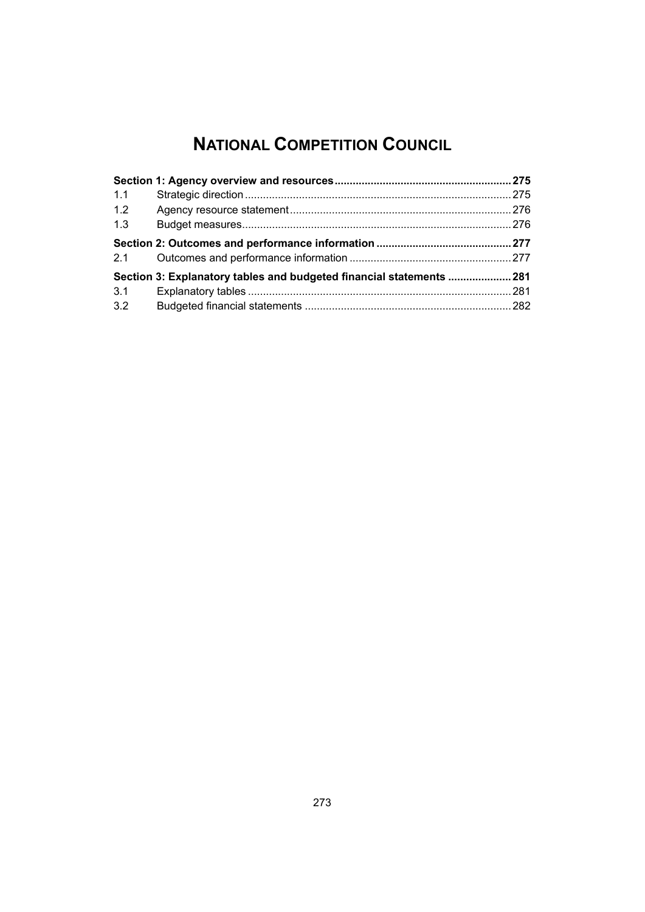# **NATIONAL COMPETITION COUNCIL**

| 1.1 |                                                                      |  |
|-----|----------------------------------------------------------------------|--|
| 1.2 |                                                                      |  |
| 1.3 |                                                                      |  |
| 2.1 |                                                                      |  |
|     | Section 3: Explanatory tables and budgeted financial statements  281 |  |
| 3.1 |                                                                      |  |
| 3.2 |                                                                      |  |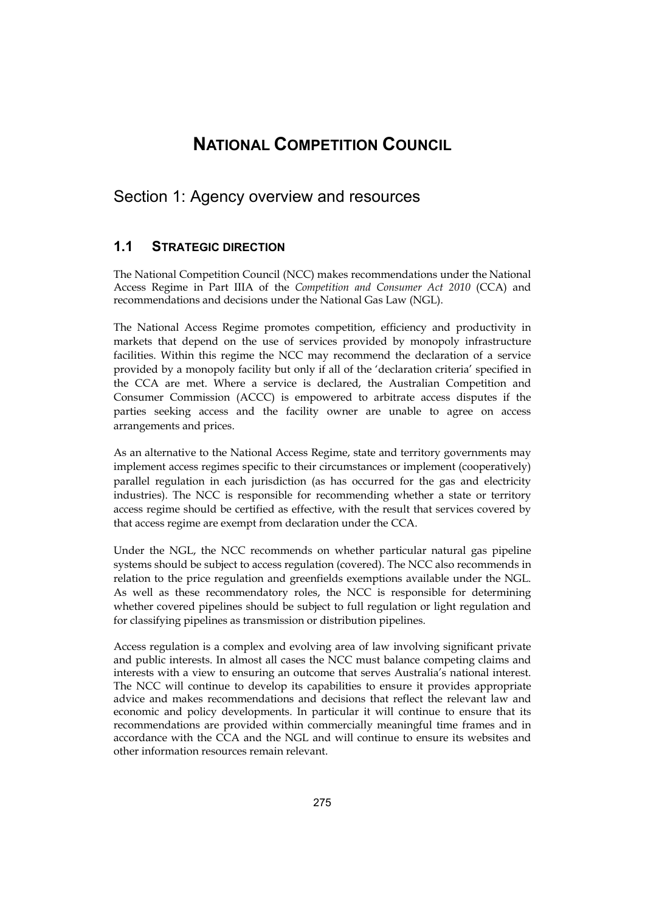# **NATIONAL COMPETITION COUNCIL**

# <span id="page-2-0"></span>Section 1: Agency overview and resources

# **1.1 STRATEGIC DIRECTION**

The National Competition Council (NCC) makes recommendations under the National Access Regime in Part IIIA of the *Competition and Consumer Act 2010* (CCA) and recommendations and decisions under the National Gas Law (NGL).

The National Access Regime promotes competition, efficiency and productivity in markets that depend on the use of services provided by monopoly infrastructure facilities. Within this regime the NCC may recommend the declaration of a service provided by a monopoly facility but only if all of the 'declaration criteria' specified in the CCA are met. Where a service is declared, the Australian Competition and Consumer Commission (ACCC) is empowered to arbitrate access disputes if the parties seeking access and the facility owner are unable to agree on access arrangements and prices.

As an alternative to the National Access Regime, state and territory governments may implement access regimes specific to their circumstances or implement (cooperatively) parallel regulation in each jurisdiction (as has occurred for the gas and electricity industries). The NCC is responsible for recommending whether a state or territory access regime should be certified as effective, with the result that services covered by that access regime are exempt from declaration under the CCA.

Under the NGL, the NCC recommends on whether particular natural gas pipeline systems should be subject to access regulation (covered). The NCC also recommends in relation to the price regulation and greenfields exemptions available under the NGL. As well as these recommendatory roles, the NCC is responsible for determining whether covered pipelines should be subject to full regulation or light regulation and for classifying pipelines as transmission or distribution pipelines.

Access regulation is a complex and evolving area of law involving significant private and public interests. In almost all cases the NCC must balance competing claims and interests with a view to ensuring an outcome that serves Australia's national interest. The NCC will continue to develop its capabilities to ensure it provides appropriate advice and makes recommendations and decisions that reflect the relevant law and economic and policy developments. In particular it will continue to ensure that its recommendations are provided within commercially meaningful time frames and in accordance with the CCA and the NGL and will continue to ensure its websites and other information resources remain relevant.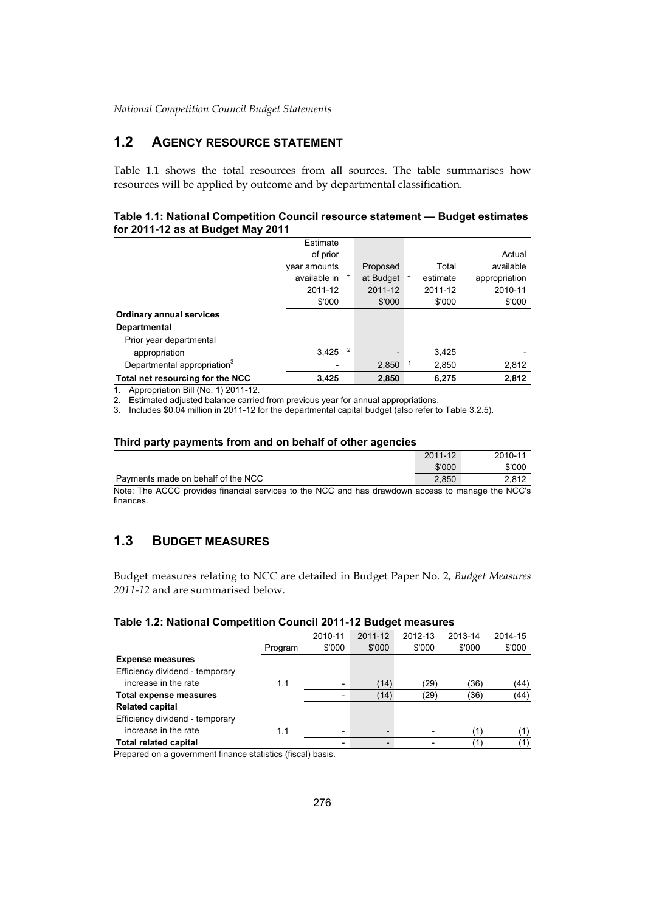# **1.2 AGENCY RESOURCE STATEMENT**

Table 1.1 shows the total resources from all sources. The table summarises how resources will be applied by outcome and by departmental classification.

#### **Table 1.1: National Competition Council resource statement — Budget estimates for 2011-12 as at Budget May 2011**

|                                         | Estimate     |   |           |          |               |
|-----------------------------------------|--------------|---|-----------|----------|---------------|
|                                         | of prior     |   |           |          | Actual        |
|                                         |              |   |           |          |               |
|                                         | year amounts |   | Proposed  | Total    | available     |
|                                         | available in |   | at Budget | estimate | appropriation |
|                                         | 2011-12      |   | 2011-12   | 2011-12  | 2010-11       |
|                                         | \$'000       |   | \$'000    | \$'000   | \$'000        |
| <b>Ordinary annual services</b>         |              |   |           |          |               |
| <b>Departmental</b>                     |              |   |           |          |               |
| Prior year departmental                 |              |   |           |          |               |
| appropriation                           | 3,425        | 2 |           | 3.425    |               |
| Departmental appropriation <sup>3</sup> |              |   | 2,850     | 2,850    | 2,812         |
| Total net resourcing for the NCC        | 3,425        |   | 2,850     | 6,275    | 2.812         |

1. Appropriation Bill (No. 1) 2011-12.

2. Estimated adjusted balance carried from previous year for annual appropriations.

3. Includes \$0.04 million in 2011-12 for the departmental capital budget (also refer to Table 3.2.5).

#### **Third party payments from and on behalf of other agencies**

|                                                                                                   | 2011-12 | 2010-11 |
|---------------------------------------------------------------------------------------------------|---------|---------|
|                                                                                                   | \$'000  | \$'000  |
| Payments made on behalf of the NCC                                                                | 2.850   | 2.812   |
| Note: The ACCC provides financial senvices to the NCC and has drawdown access to manage the NCC's |         |         |

Note: The ACCC provides financial services to the NCC and has drawdown access to manage the NCC's finances.

# **1.3 BUDGET MEASURES**

Budget measures relating to NCC are detailed in Budget Paper No. 2, *Budget Measures 2011-12* and are summarised below.

|  | Table 1.2: National Competition Council 2011-12 Budget measures |  |  |
|--|-----------------------------------------------------------------|--|--|
|--|-----------------------------------------------------------------|--|--|

|                                 |         | 2010-11 | 2011-12 | 2012-13                  | 2013-14 | 2014-15                   |
|---------------------------------|---------|---------|---------|--------------------------|---------|---------------------------|
|                                 | Program | \$'000  | \$'000  | \$'000                   | \$'000  | \$'000                    |
| <b>Expense measures</b>         |         |         |         |                          |         |                           |
| Efficiency dividend - temporary |         |         |         |                          |         |                           |
| increase in the rate            | 1.1     |         | (14)    | (29)                     | (36)    | (44)                      |
| Total expense measures          |         |         | (14)    | (29)                     | (36)    | (44)                      |
| <b>Related capital</b>          |         |         |         |                          |         |                           |
| Efficiency dividend - temporary |         |         |         |                          |         |                           |
| increase in the rate            | 1.1     |         |         | $\overline{\phantom{0}}$ | (1)     | 〔1〕                       |
| <b>Total related capital</b>    |         |         |         | $\overline{\phantom{0}}$ | (1)     | $^{\prime}$ 1 $^{\prime}$ |

Prepared on a government finance statistics (fiscal) basis.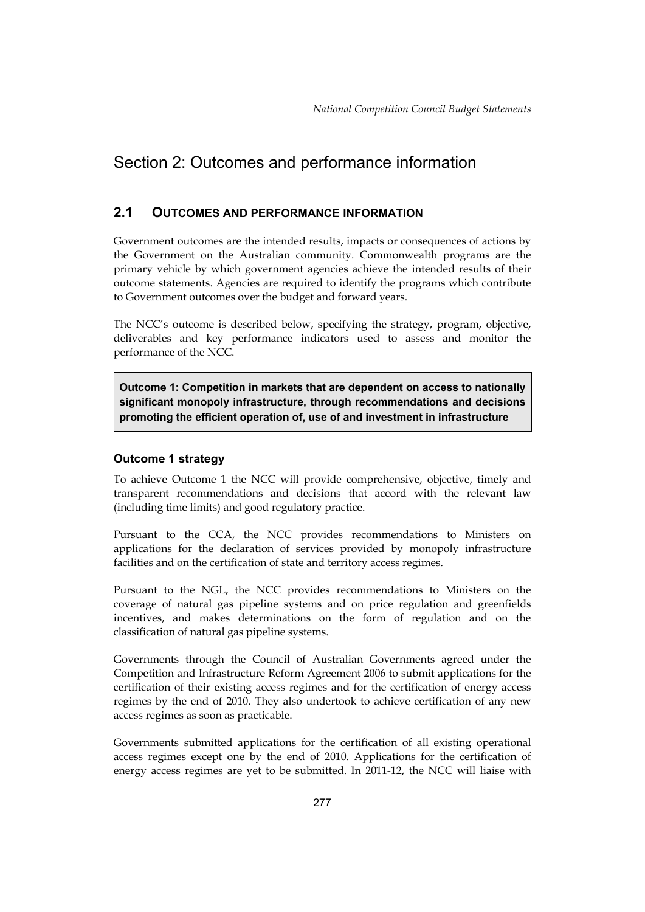# <span id="page-4-0"></span>Section 2: Outcomes and performance information

# **2.1 OUTCOMES AND PERFORMANCE INFORMATION**

 Government outcomes are the intended results, impacts or consequences of actions by the Government on the Australian community. Commonwealth programs are the primary vehicle by which government agencies achieve the intended results of their outcome statements. Agencies are required to identify the programs which contribute to Government outcomes over the budget and forward years.

The NCC's outcome is described below, specifying the strategy, program, objective, deliverables and key performance indicators used to assess and monitor the performance of the NCC.

**Outcome 1: Competition in markets that are dependent on access to nationally significant monopoly infrastructure, through recommendations and decisions promoting the efficient operation of, use of and investment in infrastructure** 

## **Outcome 1 strategy**

To achieve Outcome 1 the NCC will provide comprehensive, objective, timely and transparent recommendations and decisions that accord with the relevant law (including time limits) and good regulatory practice.

Pursuant to the CCA, the NCC provides recommendations to Ministers on applications for the declaration of services provided by monopoly infrastructure facilities and on the certification of state and territory access regimes.

Pursuant to the NGL, the NCC provides recommendations to Ministers on the coverage of natural gas pipeline systems and on price regulation and greenfields incentives, and makes determinations on the form of regulation and on the classification of natural gas pipeline systems.

 Competition and Infrastructure Reform Agreement 2006 to submit applications for the Governments through the Council of Australian Governments agreed under the certification of their existing access regimes and for the certification of energy access regimes by the end of 2010. They also undertook to achieve certification of any new access regimes as soon as practicable.

Governments submitted applications for the certification of all existing operational access regimes except one by the end of 2010. Applications for the certification of energy access regimes are yet to be submitted. In 2011-12, the NCC will liaise with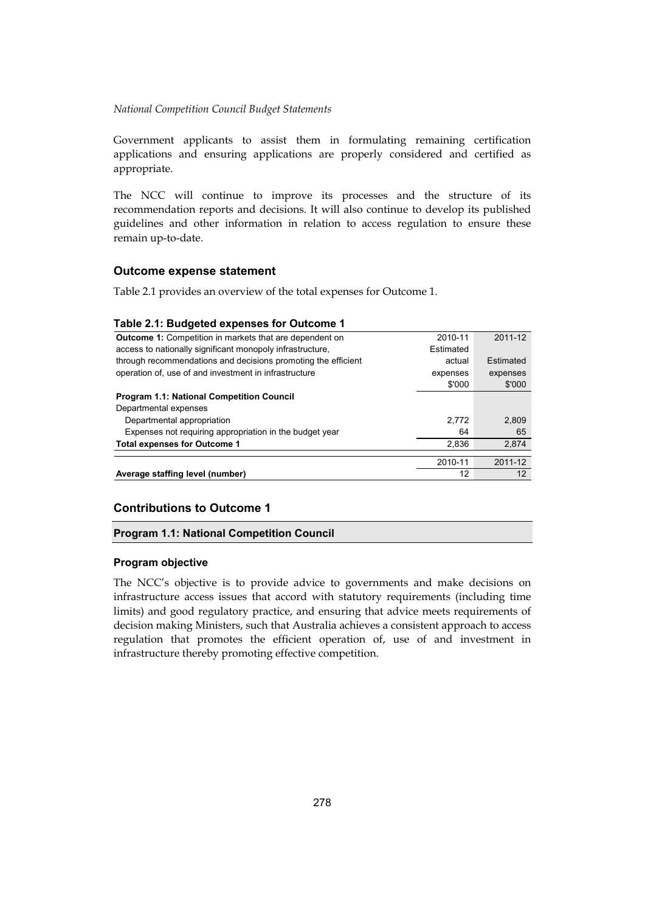applications and ensuring applications are properly considered and certified as Government applicants to assist them in formulating remaining certification appropriate.

The NCC will continue to improve its processes and the structure of its recommendation reports and decisions. It will also continue to develop its published guidelines and other information in relation to access regulation to ensure these remain up-to-date.

## **Outcome expense statement**

Table 2.1 provides an overview of the total expenses for Outcome 1.

### **Table 2.1: Budgeted expenses for Outcome 1**

| <b>Outcome 1:</b> Competition in markets that are dependent on | 2010-11   | 2011-12           |
|----------------------------------------------------------------|-----------|-------------------|
| access to nationally significant monopoly infrastructure,      | Estimated |                   |
| through recommendations and decisions promoting the efficient  | actual    | Estimated         |
| operation of, use of and investment in infrastructure          | expenses  | expenses          |
|                                                                | \$'000    | \$'000            |
| <b>Program 1.1: National Competition Council</b>               |           |                   |
| Departmental expenses                                          |           |                   |
| Departmental appropriation                                     | 2.772     | 2.809             |
| Expenses not requiring appropriation in the budget year        | 64        | 65                |
| <b>Total expenses for Outcome 1</b>                            | 2.836     | 2,874             |
|                                                                | 2010-11   | 2011-12           |
| Average staffing level (number)                                | 12        | $12 \overline{ }$ |

## **Contributions to Outcome 1**

#### **Program 1.1: National Competition Council**

#### **Program objective**

The NCC's objective is to provide advice to governments and make decisions on infrastructure access issues that accord with statutory requirements (including time limits) and good regulatory practice, and ensuring that advice meets requirements of decision making Ministers, such that Australia achieves a consistent approach to access regulation that promotes the efficient operation of, use of and investment in infrastructure thereby promoting effective competition.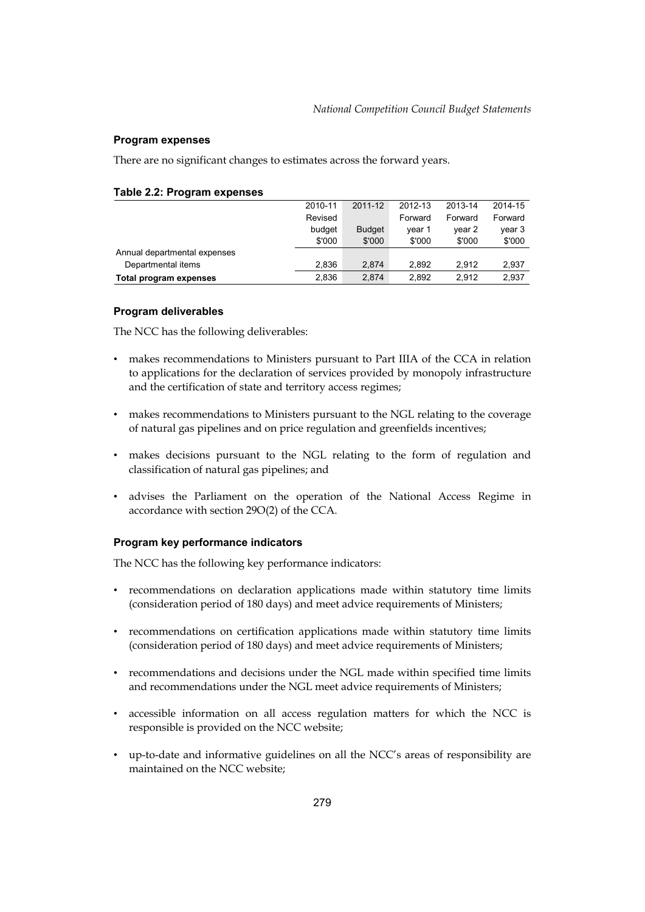### **Program expenses**

There are no significant changes to estimates across the forward years.

|                              | 2010-11 | 2011-12       | 2012-13 | 2013-14 | 2014-15 |
|------------------------------|---------|---------------|---------|---------|---------|
|                              | Revised |               | Forward | Forward | Forward |
|                              | budget  | <b>Budget</b> | vear 1  | year 2  | year 3  |
|                              | \$'000  | \$'000        | \$'000  | \$'000  | \$'000  |
| Annual departmental expenses |         |               |         |         |         |
| Departmental items           | 2.836   | 2.874         | 2.892   | 2.912   | 2,937   |
| Total program expenses       | 2,836   | 2.874         | 2.892   | 2.912   | 2,937   |

#### **Table 2.2: Program expenses**

#### **Program deliverables**

The NCC has the following deliverables:

- makes recommendations to Ministers pursuant to Part IIIA of the CCA in relation to applications for the declaration of services provided by monopoly infrastructure and the certification of state and territory access regimes;
- • makes recommendations to Ministers pursuant to the NGL relating to the coverage of natural gas pipelines and on price regulation and greenfields incentives;
- • makes decisions pursuant to the NGL relating to the form of regulation and classification of natural gas pipelines; and
- advises the Parliament on the operation of the National Access Regime in accordance with section 29O(2) of the CCA.

#### **Program key performance indicators**

The NCC has the following key performance indicators:

- • recommendations on declaration applications made within statutory time limits (consideration period of 180 days) and meet advice requirements of Ministers;
- • recommendations on certification applications made within statutory time limits (consideration period of 180 days) and meet advice requirements of Ministers;
- • recommendations and decisions under the NGL made within specified time limits and recommendations under the NGL meet advice requirements of Ministers;
- accessible information on all access regulation matters for which the NCC is responsible is provided on the NCC website;
- • up-to-date and informative guidelines on all the NCC's areas of responsibility are maintained on the NCC website;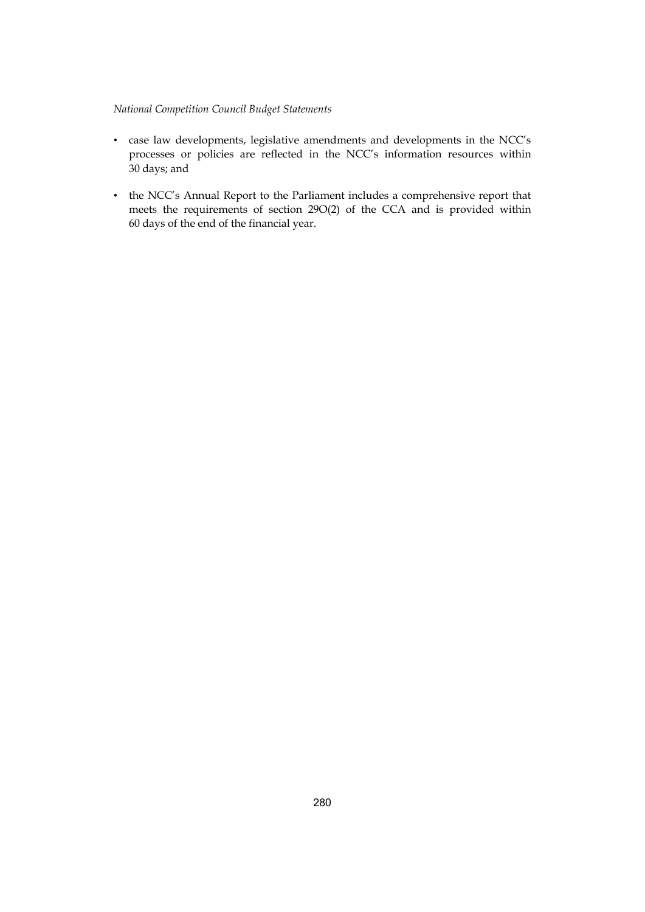- • case law developments, legislative amendments and developments in the NCC's processes or policies are reflected in the NCC's information resources within 30 days; and
- the NCC's Annual Report to the Parliament includes a comprehensive report that meets the requirements of section 29O(2) of the CCA and is provided within 60 days of the end of the financial year.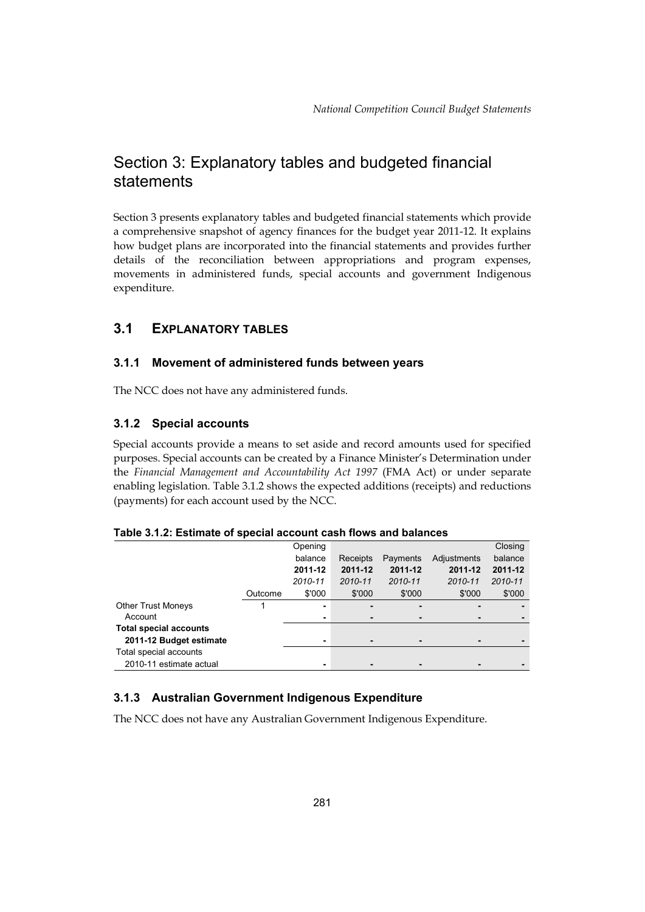# Section 3: Explanatory tables and budgeted financial statements

Section 3 presents explanatory tables and budgeted financial statements which provide a comprehensive snapshot of agency finances for the budget year 2011-12. It explains how budget plans are incorporated into the financial statements and provides further details of the reconciliation between appropriations and program expenses, movements in administered funds, special accounts and government Indigenous expenditure.

# **3.1 EXPLANATORY TABLES**

## **3.1.1 Movement of administered funds between years**

The NCC does not have any administered funds.

## **3.1.2 Special accounts**

Special accounts provide a means to set aside and record amounts used for specified purposes. Special accounts can be created by a Finance Minister's Determination under the *Financial Management and Accountability Act 1997* (FMA Act) or under separate enabling legislation. Table 3.1.2 shows the expected additions (receipts) and reductions (payments) for each account used by the NCC.

|                               |         | Opening |          |          |             | Closing |
|-------------------------------|---------|---------|----------|----------|-------------|---------|
|                               |         | balance | Receipts | Payments | Adjustments | balance |
|                               |         | 2011-12 | 2011-12  | 2011-12  | 2011-12     | 2011-12 |
|                               |         | 2010-11 | 2010-11  | 2010-11  | 2010-11     | 2010-11 |
|                               | Outcome | \$'000  | \$'000   | \$'000   | \$'000      | \$'000  |
| <b>Other Trust Moneys</b>     |         | ۰       |          | -        |             |         |
| Account                       |         | ۰       | ٠        |          |             |         |
| <b>Total special accounts</b> |         |         |          |          |             |         |
| 2011-12 Budget estimate       |         | ۰       | ٠        |          |             |         |
| Total special accounts        |         |         |          |          |             |         |
| 2010-11 estimate actual       |         | ۰       |          |          |             |         |

**Table 3.1.2: Estimate of special account cash flows and balances** 

# **3.1.3 Australian Government Indigenous Expenditure**

The NCC does not have any Australian Government Indigenous Expenditure.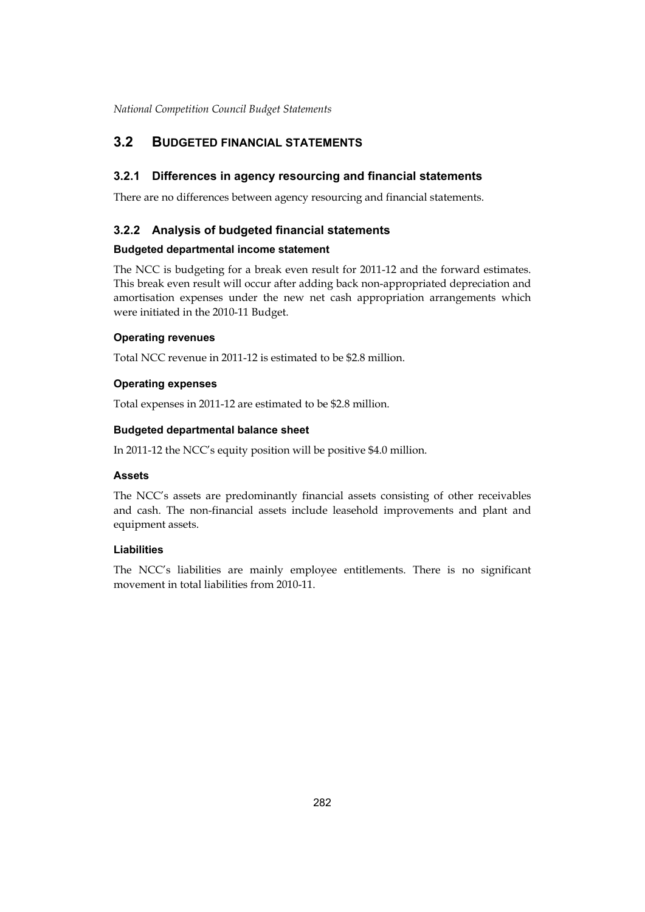# <span id="page-9-0"></span>**3.2 BUDGETED FINANCIAL STATEMENTS**

## **3.2.1 Differences in agency resourcing and financial statements**

There are no differences between agency resourcing and financial statements.

## **3.2.2 Analysis of budgeted financial statements**

## **Budgeted departmental income statement**

The NCC is budgeting for a break even result for 2011-12 and the forward estimates. This break even result will occur after adding back non-appropriated depreciation and amortisation expenses under the new net cash appropriation arrangements which were initiated in the 2010-11 Budget.

## **Operating revenues**

Total NCC revenue in 2011-12 is estimated to be \$2.8 million.

## **Operating expenses**

Total expenses in 2011-12 are estimated to be \$2.8 million.

## **Budgeted departmental balance sheet**

In 2011-12 the NCC's equity position will be positive \$4.0 million.

## **Assets**

The NCC's assets are predominantly financial assets consisting of other receivables and cash. The non-financial assets include leasehold improvements and plant and equipment assets.

## **Liabilities**

The NCC's liabilities are mainly employee entitlements. There is no significant movement in total liabilities from 2010-11.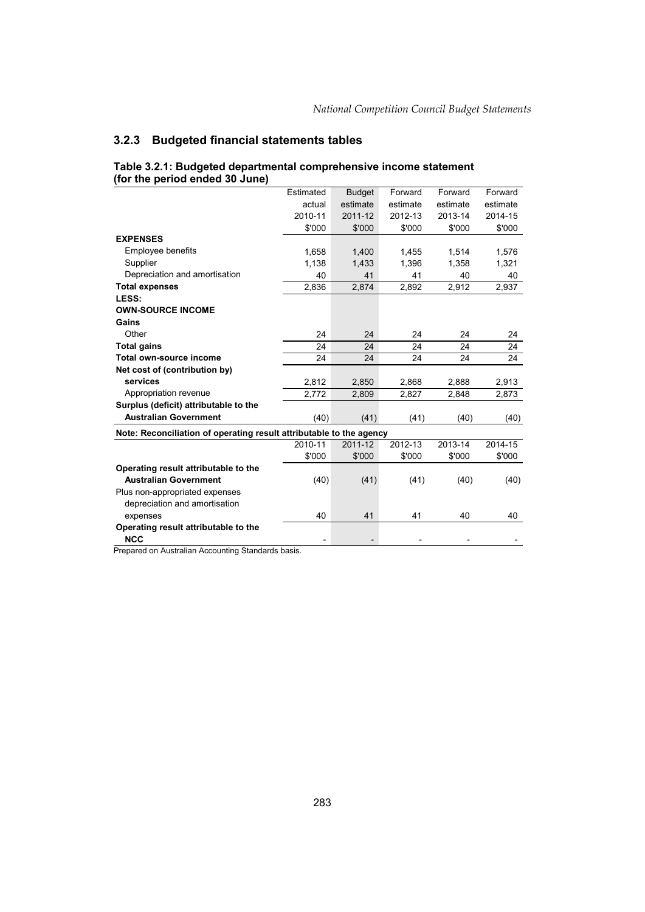## **3.2.3 Budgeted financial statements tables**

|                                                                     | Estimated | <b>Budget</b> | Forward  | Forward  | Forward  |
|---------------------------------------------------------------------|-----------|---------------|----------|----------|----------|
|                                                                     | actual    | estimate      | estimate | estimate | estimate |
|                                                                     | 2010-11   | 2011-12       | 2012-13  | 2013-14  | 2014-15  |
|                                                                     | \$'000    | \$'000        | \$'000   | \$'000   | \$'000   |
| <b>EXPENSES</b>                                                     |           |               |          |          |          |
| Employee benefits                                                   | 1,658     | 1,400         | 1,455    | 1,514    | 1,576    |
| Supplier                                                            | 1,138     | 1,433         | 1,396    | 1,358    | 1,321    |
| Depreciation and amortisation                                       | 40        | 41            | 41       | 40       | 40       |
| <b>Total expenses</b>                                               | 2,836     | 2,874         | 2,892    | 2,912    | 2,937    |
| LESS:                                                               |           |               |          |          |          |
| <b>OWN-SOURCE INCOME</b>                                            |           |               |          |          |          |
| Gains                                                               |           |               |          |          |          |
| Other                                                               | 24        | 24            | 24       | 24       | 24       |
| <b>Total gains</b>                                                  | 24        | 24            | 24       | 24       | 24       |
| Total own-source income                                             | 24        | 24            | 24       | 24       | 24       |
| Net cost of (contribution by)                                       |           |               |          |          |          |
| services                                                            | 2,812     | 2,850         | 2,868    | 2,888    | 2,913    |
| Appropriation revenue                                               | 2,772     | 2,809         | 2,827    | 2,848    | 2,873    |
| Surplus (deficit) attributable to the                               |           |               |          |          |          |
| <b>Australian Government</b>                                        | (40)      | (41)          | (41)     | (40)     | (40)     |
| Note: Reconciliation of operating result attributable to the agency |           |               |          |          |          |
|                                                                     | 2010-11   | 2011-12       | 2012-13  | 2013-14  | 2014-15  |
|                                                                     | \$'000    | \$'000        | \$'000   | \$'000   | \$'000   |
| Operating result attributable to the                                |           |               |          |          |          |
| <b>Australian Government</b>                                        | (40)      | (41)          | (41)     | (40)     | (40)     |
| Plus non-appropriated expenses                                      |           |               |          |          |          |
| depreciation and amortisation                                       |           |               |          |          |          |
| expenses                                                            | 40        | 41            | 41       | 40       | 40       |
| Operating result attributable to the                                |           |               |          |          |          |
| <b>NCC</b>                                                          |           |               |          |          |          |
|                                                                     |           |               |          |          |          |

#### **Table 3.2.1: Budgeted departmental comprehensive income statement (for the period ended 30 June)**

Prepared on Australian Accounting Standards basis.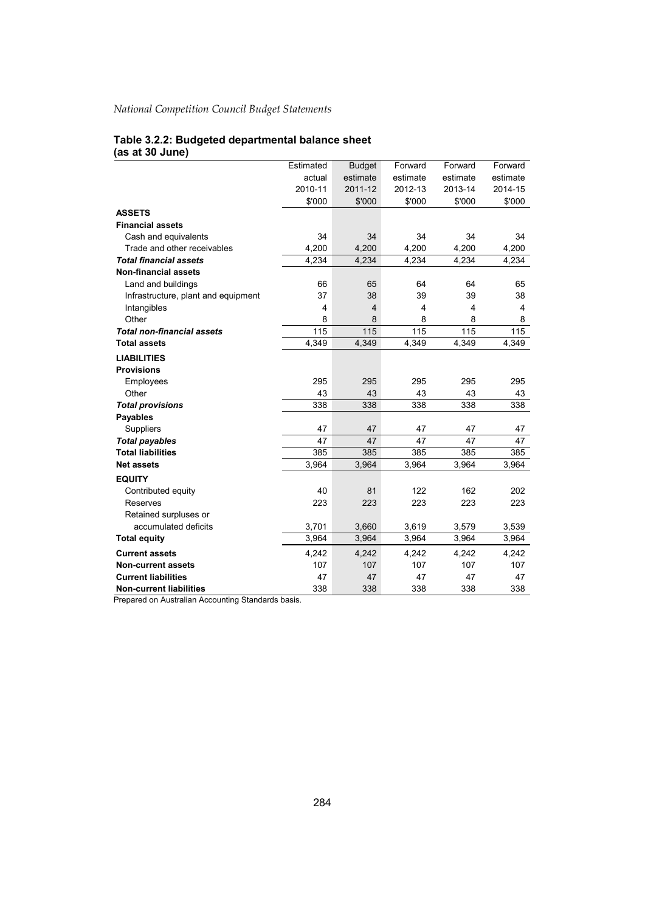#### **Table 3.2.2: Budgeted departmental balance sheet (as at 30 June)**

|                                     | Estimated | <b>Budget</b> | Forward  | Forward  | Forward                 |
|-------------------------------------|-----------|---------------|----------|----------|-------------------------|
|                                     | actual    | estimate      | estimate | estimate | estimate                |
|                                     | 2010-11   | 2011-12       | 2012-13  | 2013-14  | 2014-15                 |
|                                     | \$'000    | \$'000        | \$'000   | \$'000   | \$'000                  |
| <b>ASSETS</b>                       |           |               |          |          |                         |
| <b>Financial assets</b>             |           |               |          |          |                         |
| Cash and equivalents                | 34        | 34            | 34       | 34       | 34                      |
| Trade and other receivables         | 4,200     | 4,200         | 4,200    | 4,200    | 4,200                   |
| <b>Total financial assets</b>       | 4,234     | 4,234         | 4,234    | 4,234    | 4,234                   |
| <b>Non-financial assets</b>         |           |               |          |          |                         |
| Land and buildings                  | 66        | 65            | 64       | 64       | 65                      |
| Infrastructure, plant and equipment | 37        | 38            | 39       | 39       | 38                      |
| Intangibles                         | 4         | 4             | 4        | 4        | $\overline{\mathbf{4}}$ |
| Other                               | 8         | 8             | 8        | 8        | 8                       |
| <b>Total non-financial assets</b>   | 115       | 115           | 115      | 115      | 115                     |
| <b>Total assets</b>                 | 4,349     | 4,349         | 4,349    | 4,349    | 4,349                   |
| <b>LIABILITIES</b>                  |           |               |          |          |                         |
| <b>Provisions</b>                   |           |               |          |          |                         |
| Employees                           | 295       | 295           | 295      | 295      | 295                     |
| Other                               | 43        | 43            | 43       | 43       | 43                      |
| <b>Total provisions</b>             | 338       | 338           | 338      | 338      | 338                     |
| <b>Payables</b>                     |           |               |          |          |                         |
| Suppliers                           | 47        | 47            | 47       | 47       | 47                      |
| <b>Total payables</b>               | 47        | 47            | 47       | 47       | 47                      |
| <b>Total liabilities</b>            | 385       | 385           | 385      | 385      | 385                     |
| <b>Net assets</b>                   | 3,964     | 3,964         | 3,964    | 3,964    | 3,964                   |
| <b>EQUITY</b>                       |           |               |          |          |                         |
| Contributed equity                  | 40        | 81            | 122      | 162      | 202                     |
| Reserves                            | 223       | 223           | 223      | 223      | 223                     |
| Retained surpluses or               |           |               |          |          |                         |
| accumulated deficits                | 3,701     | 3,660         | 3,619    | 3,579    | 3,539                   |
| <b>Total equity</b>                 | 3,964     | 3,964         | 3,964    | 3,964    | 3,964                   |
| <b>Current assets</b>               | 4,242     | 4,242         | 4,242    | 4,242    | 4,242                   |
| <b>Non-current assets</b>           | 107       | 107           | 107      | 107      | 107                     |
| <b>Current liabilities</b>          | 47        | 47            | 47       | 47       | 47                      |
| <b>Non-current liabilities</b>      | 338       | 338           | 338      | 338      | 338                     |

Prepared on Australian Accounting Standards basis.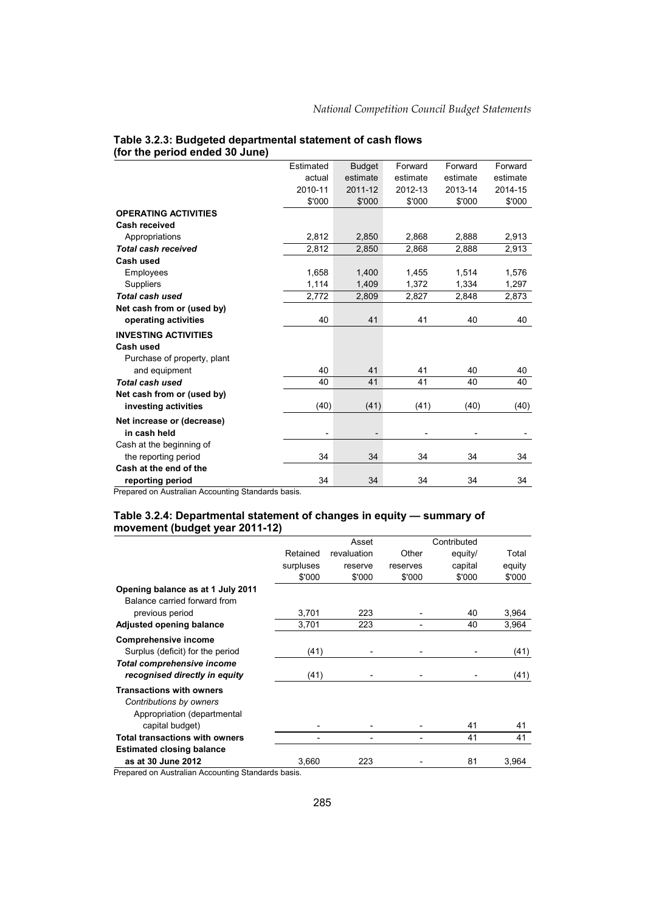|                             | Estimated | <b>Budget</b> | Forward  | Forward  | Forward  |
|-----------------------------|-----------|---------------|----------|----------|----------|
|                             | actual    | estimate      | estimate | estimate | estimate |
|                             | 2010-11   | 2011-12       | 2012-13  | 2013-14  | 2014-15  |
|                             | \$'000    | \$'000        | \$'000   | \$'000   | \$'000   |
| <b>OPERATING ACTIVITIES</b> |           |               |          |          |          |
| Cash received               |           |               |          |          |          |
| Appropriations              | 2,812     | 2,850         | 2,868    | 2,888    | 2,913    |
| <b>Total cash received</b>  | 2,812     | 2,850         | 2,868    | 2,888    | 2,913    |
| Cash used                   |           |               |          |          |          |
| Employees                   | 1,658     | 1,400         | 1,455    | 1,514    | 1,576    |
| <b>Suppliers</b>            | 1,114     | 1,409         | 1,372    | 1,334    | 1,297    |
| Total cash used             | 2,772     | 2,809         | 2,827    | 2,848    | 2,873    |
| Net cash from or (used by)  |           |               |          |          |          |
| operating activities        | 40        | 41            | 41       | 40       | 40       |
| <b>INVESTING ACTIVITIES</b> |           |               |          |          |          |
| Cash used                   |           |               |          |          |          |
| Purchase of property, plant |           |               |          |          |          |
| and equipment               | 40        | 41            | 41       | 40       | 40       |
| Total cash used             | 40        | 41            | 41       | 40       | 40       |
| Net cash from or (used by)  |           |               |          |          |          |
| investing activities        | (40)      | (41)          | (41)     | (40)     | (40)     |
| Net increase or (decrease)  |           |               |          |          |          |
| in cash held                | -         |               |          |          |          |
| Cash at the beginning of    |           |               |          |          |          |
| the reporting period        | 34        | 34            | 34       | 34       | 34       |
| Cash at the end of the      |           |               |          |          |          |
| reporting period            | 34        | 34            | 34       | 34       | 34       |

#### **Table 3.2.3: Budgeted departmental statement of cash flows (for the period ended 30 June)**

Prepared on Australian Accounting Standards basis.

#### **Table 3.2.4: Departmental statement of changes in equity — summary of movement (budget year 2011-12)**

|                                       |           | Asset       |          | Contributed |        |
|---------------------------------------|-----------|-------------|----------|-------------|--------|
|                                       | Retained  | revaluation | Other    | equity/     | Total  |
|                                       | surpluses | reserve     | reserves | capital     | equity |
|                                       | \$'000    | \$'000      | \$'000   | \$'000      | \$'000 |
| Opening balance as at 1 July 2011     |           |             |          |             |        |
| Balance carried forward from          |           |             |          |             |        |
| previous period                       | 3,701     | 223         |          | 40          | 3,964  |
| Adjusted opening balance              | 3.701     | 223         |          | 40          | 3,964  |
| <b>Comprehensive income</b>           |           |             |          |             |        |
| Surplus (deficit) for the period      | (41)      |             |          |             | (41)   |
| <b>Total comprehensive income</b>     |           |             |          |             |        |
| recognised directly in equity         | (41)      |             |          |             | (41)   |
| <b>Transactions with owners</b>       |           |             |          |             |        |
| Contributions by owners               |           |             |          |             |        |
| Appropriation (departmental           |           |             |          |             |        |
| capital budget)                       |           |             |          | 41          | 41     |
| <b>Total transactions with owners</b> |           |             |          | 41          | 41     |
| <b>Estimated closing balance</b>      |           |             |          |             |        |
| as at 30 June 2012                    | 3,660     | 223         |          | 81          | 3,964  |

Prepared on Australian Accounting Standards basis.